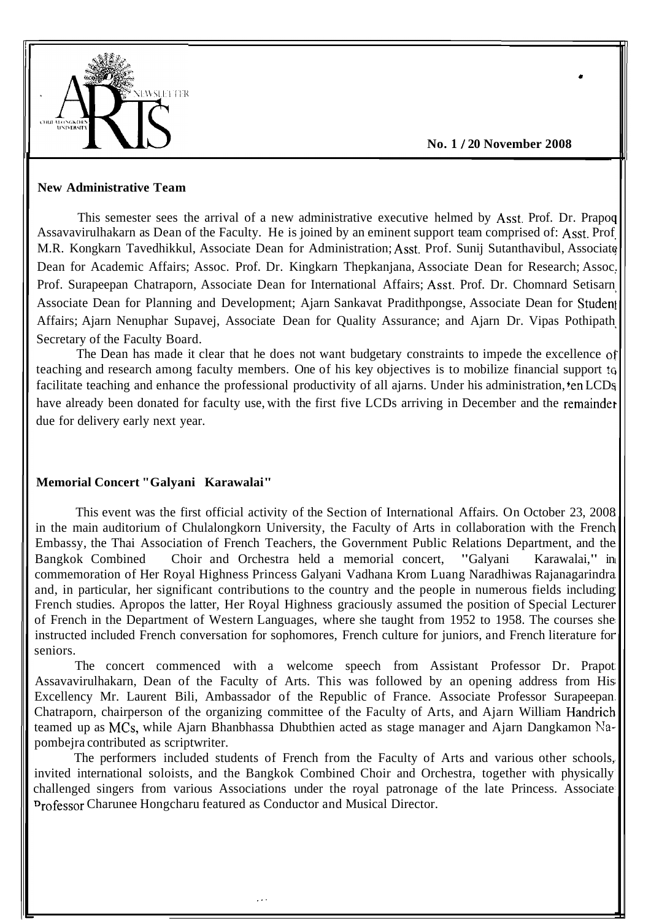

**No. 1** / **20 November 2008** 

**0 I** 

#### **New Administrative Team**

This semester sees the arrival of a new administrative executive helmed by Asst. Prof. Dr. Prapoq Assavavirulhakarn as Dean of the Faculty. He is joined by an eminent support team comprised of: Asst. Prof M.R. Kongkarn Tavedhikkul, Associate Dean for Administration; Asst. Prof. Sunij Sutanthavibul, Associate Dean for Academic Affairs; Assoc. Prof. Dr. Kingkarn Thepkanjana, Associate Dean for Research; Assoc. Prof. Surapeepan Chatraporn, Associate Dean for International Affairs; Asst. Prof. Dr. Chomnard Setisarn Associate Dean for Planning and Development; Ajarn Sankavat Pradithpongse, Associate Dean for Studeni Affairs; Ajarn Nenuphar Supavej, Associate Dean for Quality Assurance; and Ajarn Dr. Vipas Pothipath Secretary of the Faculty Board.

The Dean has made it clear that he does not want budgetary constraints to impede the excellence of teaching and research among faculty members. One of his key objectives is to mobilize financial support to facilitate teaching and enhance the professional productivity of all ajarns. Under his administration, ten LCDs have already been donated for faculty use, with the first five LCDs arriving in December and the remainder due for delivery early next year.

# **Memorial Concert "Galyani Karawalai"**

This event was the first official activity of the Section of International Affairs. On October 23, 2008 in the main auditorium of Chulalongkorn University, the Faculty of Arts in collaboration with the French Embassy, the Thai Association of French Teachers, the Government Public Relations Department, and the Bangkok Combined Choir and Orchestra held a memorial concert, "Galyani Karawalai," in Bangkok Combined Choir and Orchestra held a memorial concert, "Galyani commemoration of Her Royal Highness Princess Galyani Vadhana Krom Luang Naradhiwas Rajanagarindra and, in particular, her significant contributions to the country and the people in numerous fields including French studies. Apropos the latter, Her Royal Highness graciously assumed the position of Special Lecturer of French in the Department of Western Languages, where she taught from 1952 to 1958. The courses she instructed included French conversation for sophomores, French culture for juniors, and French literature for seniors.

The concert commenced with a welcome speech from Assistant Professor Dr. Prapot Assavavirulhakarn, Dean of the Faculty of Arts. This was followed by an opening address from His Excellency Mr. Laurent Bili, Ambassador of the Republic of France. Associate Professor Surapeepan Chatraporn, chairperson of the organizing committee of the Faculty of Arts, and Ajarn William Handrich teamed up as MCs, while Ajarn Bhanbhassa Dhubthien acted as stage manager and Ajarn Dangkamon Napombejra contributed as scriptwriter.

The performers included students of French from the Faculty of Arts and various other schools, invited international soloists, and the Bangkok Combined Choir and Orchestra, together with physically challenged singers from various Associations under the royal patronage of the late Princess. Associate **Professor Charunee Hongcharu featured as Conductor and Musical Director.**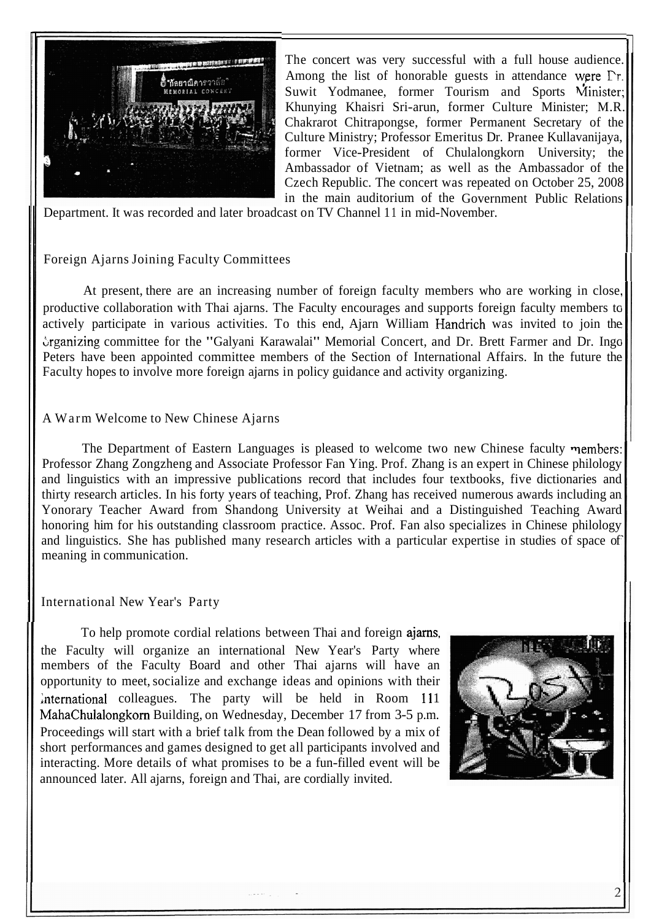

The concert was very successful with a full house audience. Among the list of honorable guests in attendance were  $\Gamma$ r. Suwit Yodmanee, former Tourism and Sports Minister; Khunying Khaisri Sri-arun, former Culture Minister; M.R. Chakrarot Chitrapongse, former Permanent Secretary of the Culture Ministry; Professor Emeritus Dr. Pranee Kullavanijaya, former Vice-President of Chulalongkorn University; the Ambassador of Vietnam; as well as the Ambassador of the Czech Republic. The concert was repeated on October 25, 2008 in the main auditorium of the Government Public Relations

Department. It was recorded and later broadcast on TV Channel 11 in mid-November.

# Foreign Ajarns Joining Faculty Committees

At present, there are an increasing number of foreign faculty members who are working in close. productive collaboration with Thai ajarns. The Faculty encourages and supports foreign faculty members to actively participate in various activities. To this end, Ajarn William Handrich was invited to join the Grganizing committee for the "Galyani Karawalai" Memorial Concert, and Dr. Brett Farmer and Dr. Ingo Peters have been appointed committee members of the Section of International Affairs. In the future the Faculty hopes to involve more foreign ajarns in policy guidance and activity organizing.

# A Warm Welcome to New Chinese Ajarns

The Department of Eastern Languages is pleased to welcome two new Chinese faculty members: Professor Zhang Zongzheng and Associate Professor Fan Ying. Prof. Zhang is an expert in Chinese philology and linguistics with an impressive publications record that includes four textbooks, five dictionaries and thirty research articles. In his forty years of teaching, Prof. Zhang has received numerous awards including an Yonorary Teacher Award from Shandong University at Weihai and a Distinguished Teaching Award honoring him for his outstanding classroom practice. Assoc. Prof. Fan also specializes in Chinese philology and linguistics. She has published many research articles with a particular expertise in studies of space of meaning in communication.

# International New Year's Party

To help promote cordial relations between Thai and foreign ajams, the Faculty will organize an international New Year's Party where members of the Faculty Board and other Thai ajarns will have an opportunity to meet, socialize and exchange ideas and opinions with their International colleagues. The party will be held in Room 111 MahaChulalongkorn Building, on Wednesday, December 17 from 3-5 p.m. Proceedings will start with a brief talk from the Dean followed by a mix of short performances and games designed to get all participants involved and interacting. More details of what promises to be a fun-filled event will be announced later. All ajarns, foreign and Thai, are cordially invited.

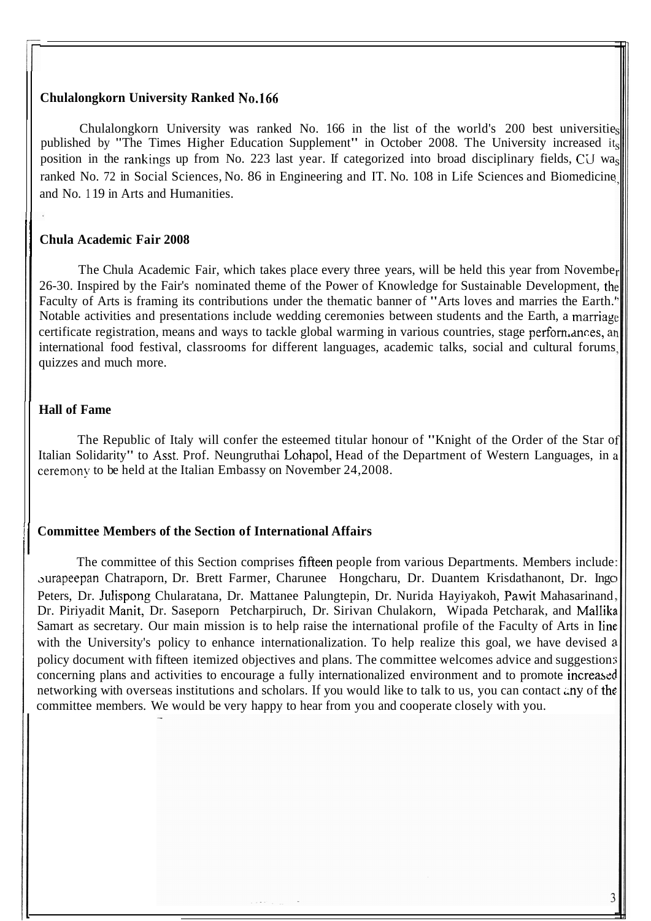#### **Chulalongkorn University Ranked No.166**

Chulalongkorn University was ranked No. 166 in the list of the world's 200 best universitie published by "The Times Higher Education Supplement" in October 2008. The University increased its position in the rankings up from No. 223 last year. If categorized into broad disciplinary fields, C'J wa ranked No. 72 in Social Sciences, No. 86 in Engineering and IT. No. 108 in Life Sciences and Biomedicine and No. 1 19 in Arts and Humanities.

### **Chula Academic Fair 2008**

The Chula Academic Fair, which takes place every three years, will be held this year from November 26-30. Inspired by the Fair's nominated theme of the Power of Knowledge for Sustainable Development, the Faculty of Arts is framing its contributions under the thematic banner of "Arts loves and marries the Earth.' Notable activities and presentations include wedding ceremonies between students and the Earth, a marriagc certificate registration, means and ways to tackle global warming in various countries, stage perform ances, an international food festival, classrooms for different languages, academic talks, social and cultural forums quizzes and much more.

### **Hall of Fame**

The Republic of Italy will confer the esteemed titular honour of "Knight of the Order of the Star of Italian Solidarity" to Asst. Prof. Neungruthai Lohapol, Head of the Department of Western Languages, in a ceremony to be held at the Italian Embassy on November 24,2008.

### **Committee Members of the Section of International Affairs**

The committee of this Section comprises fifteen people from various Departments. Members include aurapeepan Chatraporn, Dr. Brett Farmer, Charunee Hongcharu, Dr. Duantem Krisdathanont, Dr. Ingc Peters, Dr. Julispong Chularatana, Dr. Mattanee Palungtepin, Dr. Nurida Hayiyakoh, Pawit Mahasarinand Dr. Piriyadit Manit, Dr. Saseporn Petcharpiruch, Dr. Siriyan Chulakorn, Wipada Petcharak, and Mallika Samart as secretary. Our main mission is to help raise the international profile of the Faculty of Arts in linc with the University's policy to enhance internationalization. To help realize this goal, we have devised a policy document with fifteen itemized objectives and plans. The committee welcomes advice and suggestion: concerning plans and activities to encourage a fully internationalized environment and to promote increased networking with overseas institutions and scholars. If you would like to talk to us, you can contact any of the committee members. We would be very happy to hear from you and cooperate closely with you.